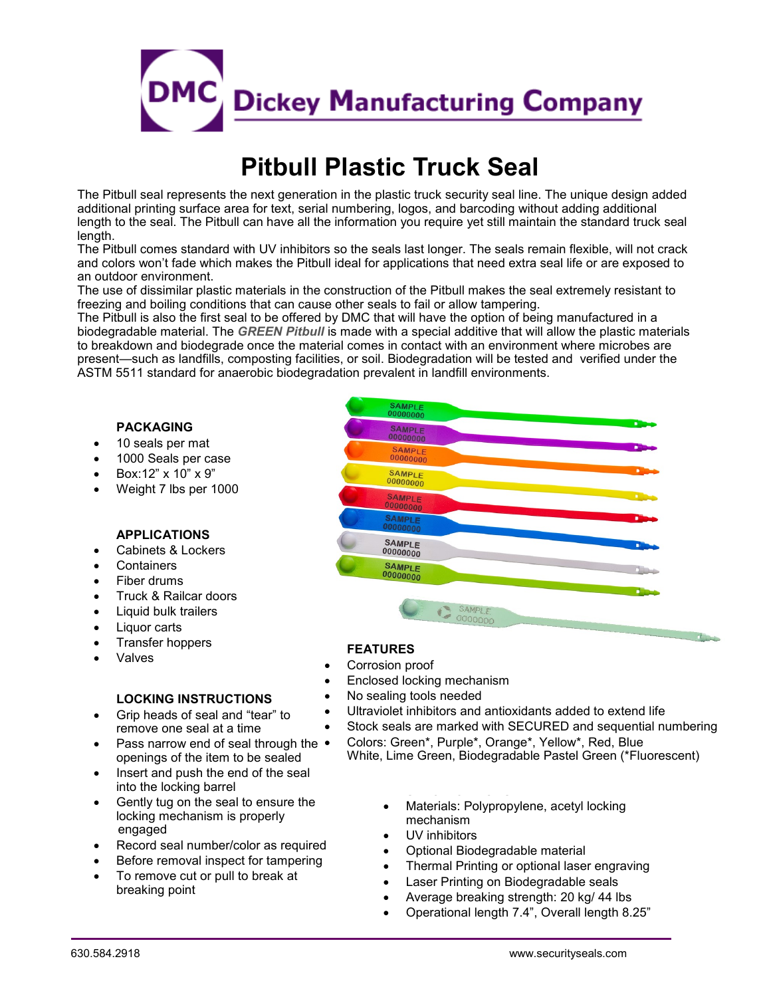

# **Pitbull Plastic Truck Seal**

The Pitbull seal represents the next generation in the plastic truck security seal line. The unique design added additional printing surface area for text, serial numbering, logos, and barcoding without adding additional length to the seal. The Pitbull can have all the information you require yet still maintain the standard truck seal length.

The Pitbull comes standard with UV inhibitors so the seals last longer. The seals remain flexible, will not crack and colors won't fade which makes the Pitbull ideal for applications that need extra seal life or are exposed to an outdoor environment.

The use of dissimilar plastic materials in the construction of the Pitbull makes the seal extremely resistant to freezing and boiling conditions that can cause other seals to fail or allow tampering.

The Pitbull is also the first seal to be offered by DMC that will have the option of being manufactured in a biodegradable material. The *GREEN Pitbull* is made with a special additive that will allow the plastic materials to breakdown and biodegrade once the material comes in contact with an environment where microbes are present—such as landfills, composting facilities, or soil. Biodegradation will be tested and verified under the ASTM 5511 standard for anaerobic biodegradation prevalent in landfill environments.

#### **PACKAGING**

- 10 seals per mat
- 1000 Seals per case
- Box:12" x 10" x 9"
- Weight 7 lbs per 1000

#### **APPLICATIONS**

- Cabinets & Lockers
- **Containers**
- Fiber drums
- Truck & Railcar doors
- Liquid bulk trailers
- Liquor carts
- Transfer hoppers
- **Valves**

## **LOCKING INSTRUCTIONS**

- Grip heads of seal and "tear" to remove one seal at a time
- Pass narrow end of seal through the  $\bullet$ openings of the item to be sealed
- Insert and push the end of the seal into the locking barrel
- Gently tug on the seal to ensure the locking mechanism is properly engaged
- Record seal number/color as required
- Before removal inspect for tampering
- To remove cut or pull to break at breaking point

# SAMPLE<br>00000000 **SAMPLE**<br>00000000 **SAMPLE SAMPLE**<br>00000000 **SAMPLE** SAMPLE **SAMPLE**<br>00000000 SAMPLE 00000000

## **FEATURES**

- Corrosion proof
- Enclosed locking mechanism
- No sealing tools needed
- Ultraviolet inhibitors and antioxidants added to extend life
- Stock seals are marked with SECURED and sequential numbering
	- Colors: Green\*, Purple\*, Orange\*, Yellow\*, Red, Blue White, Lime Green, Biodegradable Pastel Green (\*Fluorescent)
		- Materials: Polypropylene, acetyl locking mechanism
		- UV inhibitors
		- Optional Biodegradable material

**SPECIFICATIONS**

- Thermal Printing or optional laser engraving
- Laser Printing on Biodegradable seals
- Average breaking strength: 20 kg/ 44 lbs
- Operational length 7.4", Overall length 8.25"